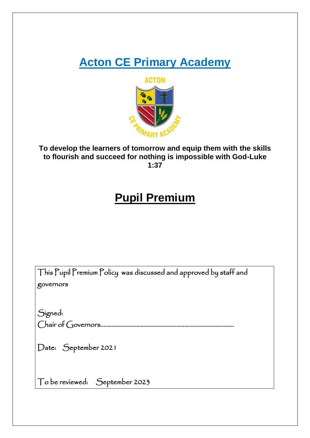# **Acton CE Primary Academy**



## **To develop the learners of tomorrow and equip them with the skills to flourish and succeed for nothing is impossible with God-Luke 1:37**

## **Pupil Premium**

| This Pupil Premium Policy was discussed and approved by staff and |
|-------------------------------------------------------------------|
| governors                                                         |
|                                                                   |
| Signed:                                                           |
|                                                                   |
| Date: September 2021                                              |
| To be reviewed: September 2023                                    |
|                                                                   |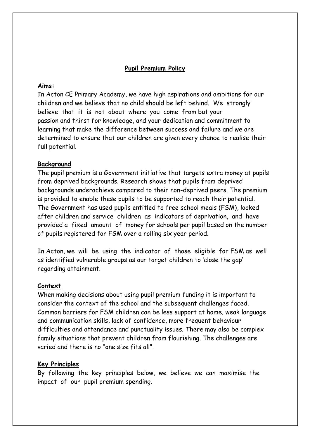## **Pupil Premium Policy**

## **Aims:**

In Acton CE Primary Academy, we have high aspirations and ambitions for our children and we believe that no child should be left behind. We strongly believe that it is not about where you come from but your passion and thirst for knowledge, and your dedication and commitment to learning that make the difference between success and failure and we are determined to ensure that our children are given every chance to realise their full potential.

#### **Background**

The pupil premium is a Government initiative that targets extra money at pupils from deprived backgrounds. Research shows that pupils from deprived backgrounds underachieve compared to their non-deprived peers. The premium is provided to enable these pupils to be supported to reach their potential. The Government has used pupils entitled to free school meals (FSM), looked after children and service children as indicators of deprivation, and have provided a fixed amount of money for schools per pupil based on the number of pupils registered for FSM over a rolling six year period.

In Acton, we will be using the indicator of those eligible for FSM as well as identified vulnerable groups as our target children to 'close the gap' regarding attainment.

#### **Context**

When making decisions about using pupil premium funding it is important to consider the context of the school and the subsequent challenges faced. Common barriers for FSM children can be less support at home, weak language and communication skills, lack of confidence, more frequent behaviour difficulties and attendance and punctuality issues. There may also be complex family situations that prevent children from flourishing. The challenges are varied and there is no "one size fits all".

## **Key Principles**

By following the key principles below, we believe we can maximise the impact of our pupil premium spending.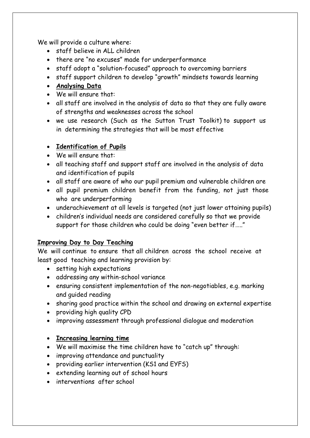We will provide a culture where:

- staff believe in ALL children
- there are "no excuses" made for underperformance
- staff adopt a "solution-focused" approach to overcoming barriers
- staff support children to develop "growth" mindsets towards learning
- **Analysing Data**
- We will ensure that:
- all staff are involved in the analysis of data so that they are fully aware of strengths and weaknesses across the school
- we use research (Such as the Sutton Trust Toolkit) to support us in determining the strategies that will be most effective

## • **Identification of Pupils**

- We will ensure that:
- all teaching staff and support staff are involved in the analysis of data and identification of pupils
- all staff are aware of who our pupil premium and vulnerable children are
- all pupil premium children benefit from the funding, not just those who are underperforming
- underachievement at all levels is targeted (not just lower attaining pupils)
- children's individual needs are considered carefully so that we provide support for those children who could be doing "even better if….."

## **Improving Day to Day Teaching**

We will continue to ensure that all children across the school receive at least good teaching and learning provision by:

- setting high expectations
- addressing any within-school variance
- ensuring consistent implementation of the non-negotiables, e.g. marking and guided reading
- sharing good practice within the school and drawing on external expertise
- providing high quality CPD
- improving assessment through professional dialogue and moderation

## • **Increasing learning time**

- We will maximise the time children have to "catch up" through:
- improving attendance and punctuality
- providing earlier intervention (KS1 and EYFS)
- extending learning out of school hours
- interventions after school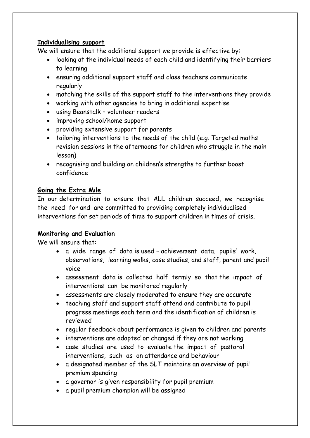## **Individualising support**

We will ensure that the additional support we provide is effective by:

- looking at the individual needs of each child and identifying their barriers to learning
- ensuring additional support staff and class teachers communicate regularly
- matching the skills of the support staff to the interventions they provide
- working with other agencies to bring in additional expertise
- using Beanstalk volunteer readers
- improving school/home support
- providing extensive support for parents
- tailoring interventions to the needs of the child (e.g. Targeted maths revision sessions in the afternoons for children who struggle in the main lesson)
- recognising and building on children's strengths to further boost confidence

## **Going the Extra Mile**

In our determination to ensure that ALL children succeed, we recognise the need for and are committed to providing completely individualised interventions for set periods of time to support children in times of crisis.

## **Monitoring and Evaluation**

We will ensure that:

- a wide range of data is used achievement data, pupils' work, observations, learning walks, case studies, and staff, parent and pupil voice
- assessment data is collected half termly so that the impact of interventions can be monitored regularly
- assessments are closely moderated to ensure they are accurate
- teaching staff and support staff attend and contribute to pupil progress meetings each term and the identification of children is reviewed
- regular feedback about performance is given to children and parents
- interventions are adapted or changed if they are not working
- case studies are used to evaluate the impact of pastoral interventions, such as on attendance and behaviour
- a designated member of the SLT maintains an overview of pupil premium spending
- a governor is given responsibility for pupil premium
- a pupil premium champion will be assigned